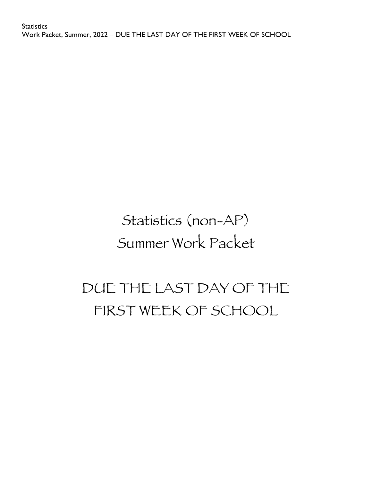# Statistics (non-AP) Summer Work Packet

# DUE THE LAST DAY OF THE FIRST WEEK OF SCHOOL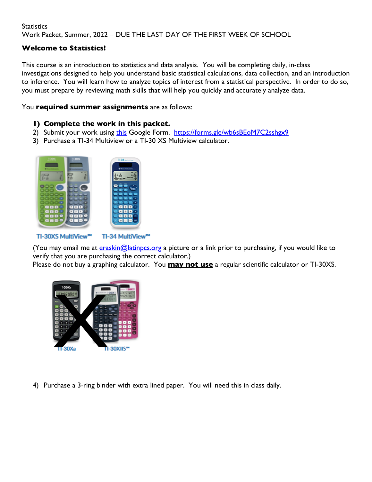#### **Welcome to Statistics!**

This course is an introduction to statistics and data analysis. You will be completing daily, in-class investigations designed to help you understand basic statistical calculations, data collection, and an introduction to inference. You will learn how to analyze topics of interest from a statistical perspective. In order to do so, you must prepare by reviewing math skills that will help you quickly and accurately analyze data.

#### You **required summer assignments** are as follows:

#### **1) Complete the work in this packet.**

- 2) Submit your work using this Google Form. https://forms.gle/wb6sBEoM7C2sshgx9
- 3) Purchase a TI-34 Multiview or a TI-30 XS Multiview calculator.



TI-30XS MultiView™

TI-34 MultiView™

(You may email me at **eraskin@latinpcs.org** a picture or a link prior to purchasing, if you would like to verify that you are purchasing the correct calculator.)

Please do not buy a graphing calculator. You **may not use** a regular scientific calculator or TI-30XS.



4) Purchase a 3-ring binder with extra lined paper. You will need this in class daily.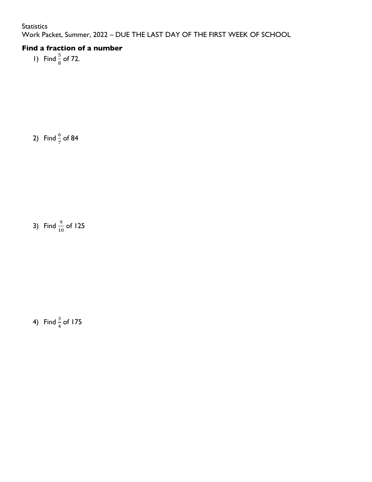## **Find a fraction of a number**

1) Find  $\frac{5}{8}$  of 72.

2) Find  $\frac{6}{7}$  of 84

3) Find  $\frac{9}{10}$  of 125

4) Find  $\frac{3}{4}$  of 175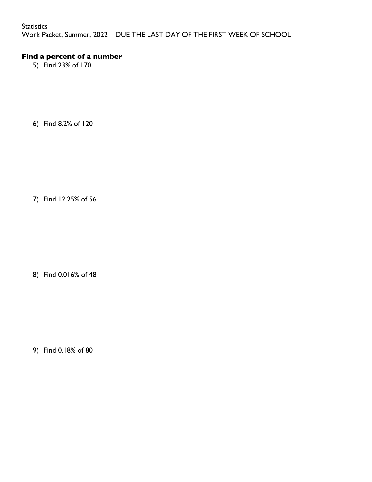#### **Statistics**

Work Packet, Summer, 2022 – DUE THE LAST DAY OF THE FIRST WEEK OF SCHOOL

#### **Find a percent of a number**

5) Find 23% of 170

6) Find 8.2% of 120

7) Find 12.25% of 56

8) Find 0.016% of 48

9) Find 0.18% of 80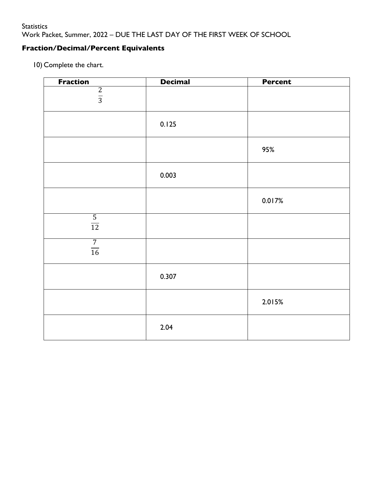## **Fraction/Decimal/Percent Equivalents**

10) Complete the chart.

| <b>Fraction</b> | <b>Decimal</b> | <b>Percent</b> |
|-----------------|----------------|----------------|
| $rac{2}{3}$     |                |                |
|                 |                |                |
|                 |                |                |
|                 |                |                |
|                 | 0.125          |                |
|                 |                |                |
|                 |                |                |
|                 |                | 95%            |
|                 |                |                |
|                 |                |                |
|                 | 0.003          |                |
|                 |                |                |
|                 |                |                |
|                 |                | 0.017%         |
|                 |                |                |
| $\frac{5}{12}$  |                |                |
|                 |                |                |
| $\overline{7}$  |                |                |
| $\frac{1}{16}$  |                |                |
|                 |                |                |
|                 |                |                |
|                 | 0.307          |                |
|                 |                |                |
|                 |                |                |
|                 |                | 2.015%         |
|                 |                |                |
|                 |                |                |
|                 | 2.04           |                |
|                 |                |                |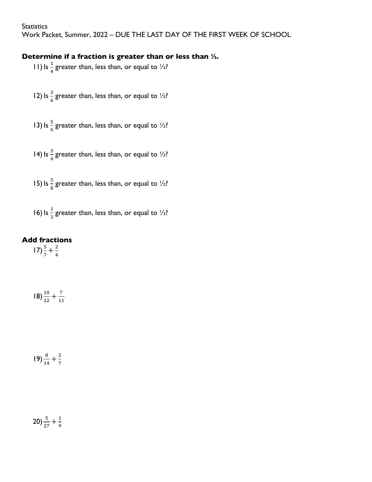**Statistics** 

Work Packet, Summer, 2022 – DUE THE LAST DAY OF THE FIRST WEEK OF SCHOOL

#### **Determine if a fraction is greater than or less than ½.**

- 11) Is  $\frac{1}{4}$  greater than, less than, or equal to  $\frac{1}{2}$ ?
- 12) Is  $\frac{3}{6}$  greater than, less than, or equal to  $\frac{1}{2}$ ?
- 13) Is  $\frac{5}{6}$  greater than, less than, or equal to  $\frac{1}{2}$ ?
- 14) Is  $\frac{3}{4}$  greater than, less than, or equal to  $\frac{1}{2}$ ?
- 15) Is  $\frac{5}{8}$  greater than, less than, or equal to  $\frac{1}{2}$ ?

16) Is  $\frac{1}{3}$  greater than, less than, or equal to  $\frac{1}{2}$ ?

#### **Add fractions**

 $17) \frac{5}{7} + \frac{2}{4}$ 

$$
18) \frac{10}{22} + \frac{7}{11}
$$

$$
19) \frac{8}{14} + \frac{2}{7}
$$

# $20\frac{5}{27} + \frac{1}{9}$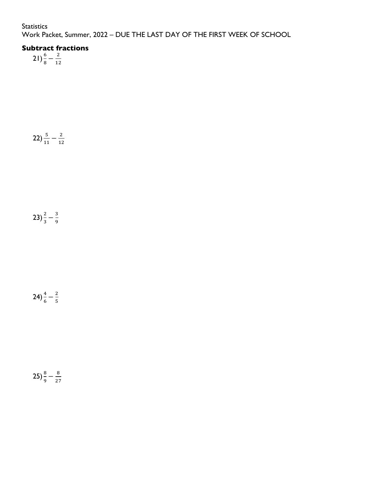## **Subtract fractions**

 $21\frac{6}{8} - \frac{2}{12}$ 

 $(22)\frac{5}{11}-\frac{2}{12}$ 

23)  $\frac{2}{3} - \frac{3}{9}$ 

 $(24)\frac{4}{6}-\frac{2}{5}$ 

$$
25\frac{8}{9}-\frac{8}{27}
$$